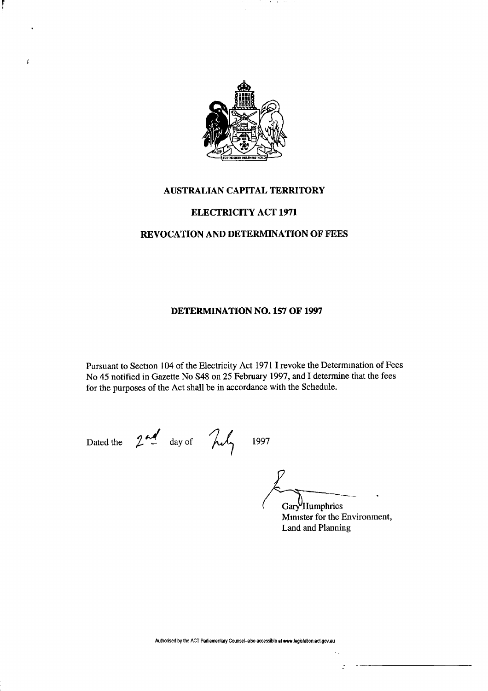

-31

## **AUSTRALIAN CAPITAL TERRITORY**

### **ELECTRICITY ACT 1971**

### **REVOCATION AND DETERMINATION OF FEES**

#### **DETERMINATION NO. 157 OF 1997**

Pursuant to Section 104 of the Electricity Act 1971 I revoke the Determination of Fees No 45 notified in Gazette No S48 on 25 February 1997, and I determine that the fees for the purposes of the Act shall be in accordance with the Schedule.

 $\mathbf{r}$ 

Dated the  $2^{nd}$  day of  $\lambda\lambda$  1997

Gary<sup>V</sup>Humphries

Minister for the Environment, Land and Planning